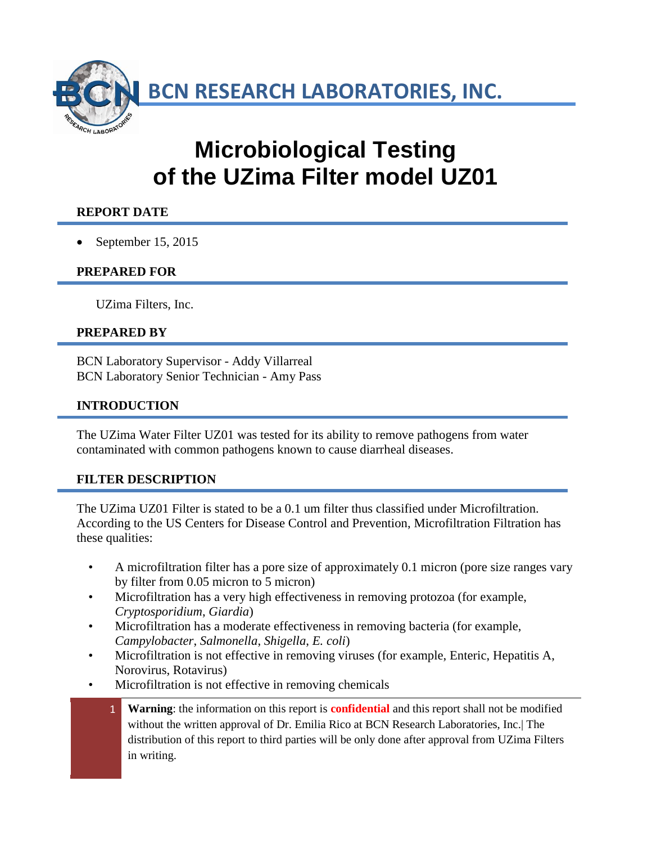**BCN RESEARCH LABORATORIES, INC.**

# **Microbiological Testing of the UZima Filter model UZ01**

## **REPORT DATE**

• September 15, 2015

#### **PREPARED FOR**

UZima Filters, Inc.

#### **PREPARED BY**

BCN Laboratory Supervisor - Addy Villarreal BCN Laboratory Senior Technician - Amy Pass

### **INTRODUCTION**

The UZima Water Filter UZ01 was tested for its ability to remove pathogens from water contaminated with common pathogens known to cause diarrheal diseases.

#### **FILTER DESCRIPTION**

The UZima UZ01 Filter is stated to be a 0.1 um filter thus classified under Microfiltration. According to the US Centers for Disease Control and Prevention, Microfiltration Filtration has these qualities:

- A microfiltration filter has a pore size of approximately 0.1 micron (pore size ranges vary by filter from 0.05 micron to 5 micron)
- Microfiltration has a very high effectiveness in removing protozoa (for example, *Cryptosporidium*, *Giardia*)
- Microfiltration has a moderate effectiveness in removing bacteria (for example, *Campylobacter*, *Salmonella*, *Shigella*, *E. coli*)
- Microfiltration is not effective in removing viruses (for example, Enteric, Hepatitis A, Norovirus, Rotavirus)
- Microfiltration is not effective in removing chemicals
	- 1 **Warning**: the information on this report is **confidential** and this report shall not be modified without the written approval of Dr. Emilia Rico at BCN Research Laboratories, Inc.| The distribution of this report to third parties will be only done after approval from UZima Filters in writing.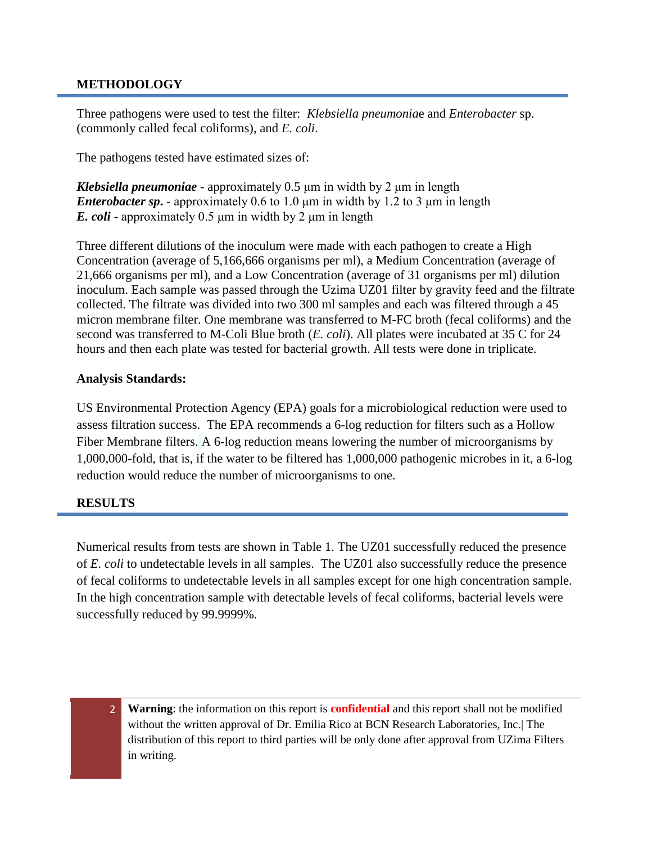#### **METHODOLOGY**

Three pathogens were used to test the filter: *Klebsiella pneumonia*e and *Enterobacter* sp. (commonly called fecal coliforms), and *E. coli*.

The pathogens tested have estimated sizes of:

*Klebsiella pneumoniae* - approximately 0.5 μm in width by 2 μm in length *Enterobacter sp***.** - approximately 0.6 to 1.0 μm in width by 1.2 to 3 μm in length *E. coli* - approximately 0.5 μm in width by 2 μm in length

Three different dilutions of the inoculum were made with each pathogen to create a High Concentration (average of 5,166,666 organisms per ml), a Medium Concentration (average of 21,666 organisms per ml), and a Low Concentration (average of 31 organisms per ml) dilution inoculum. Each sample was passed through the Uzima UZ01 filter by gravity feed and the filtrate collected. The filtrate was divided into two 300 ml samples and each was filtered through a 45 micron membrane filter. One membrane was transferred to M-FC broth (fecal coliforms) and the second was transferred to M-Coli Blue broth (*E. coli*). All plates were incubated at 35 C for 24 hours and then each plate was tested for bacterial growth. All tests were done in triplicate.

#### **Analysis Standards:**

US Environmental Protection Agency (EPA) goals for a microbiological reduction were used to assess filtration success. The EPA recommends a 6-log reduction for filters such as a Hollow Fiber Membrane filters. A 6-log reduction means lowering the number of microorganisms by 1,000,000-fold, that is, if the water to be filtered has 1,000,000 pathogenic microbes in it, a 6-log reduction would reduce the number of microorganisms to one.

#### **RESULTS**

Numerical results from tests are shown in Table 1. The UZ01 successfully reduced the presence of *E. coli* to undetectable levels in all samples. The UZ01 also successfully reduce the presence of fecal coliforms to undetectable levels in all samples except for one high concentration sample. In the high concentration sample with detectable levels of fecal coliforms, bacterial levels were successfully reduced by 99.9999%.

- 
- 2 **Warning**: the information on this report is **confidential** and this report shall not be modified without the written approval of Dr. Emilia Rico at BCN Research Laboratories, Inc.| The distribution of this report to third parties will be only done after approval from UZima Filters in writing.